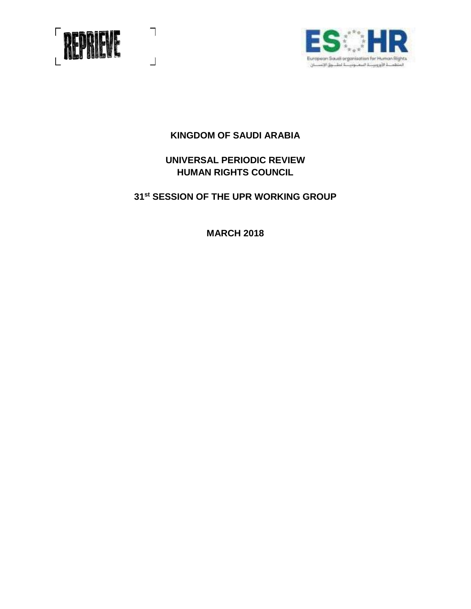

 $\bigcap$ 

 $\perp$ 



# **KINGDOM OF SAUDI ARABIA**

# **UNIVERSAL PERIODIC REVIEW HUMAN RIGHTS COUNCIL**

# **31st SESSION OF THE UPR WORKING GROUP**

**MARCH 2018**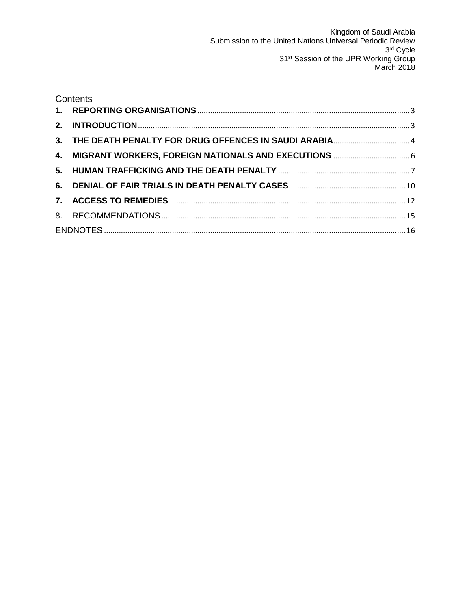|  | Contents |  |
|--|----------|--|
|  |          |  |
|  |          |  |
|  |          |  |
|  |          |  |
|  |          |  |
|  |          |  |
|  |          |  |
|  |          |  |
|  |          |  |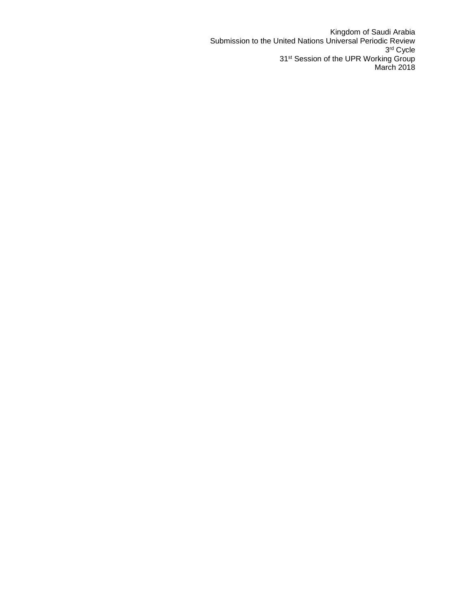Kingdom of Saudi Arabia Submission to the United Nations Universal Periodic Review 3 rd Cycle 31<sup>st</sup> Session of the UPR Working Group March 2018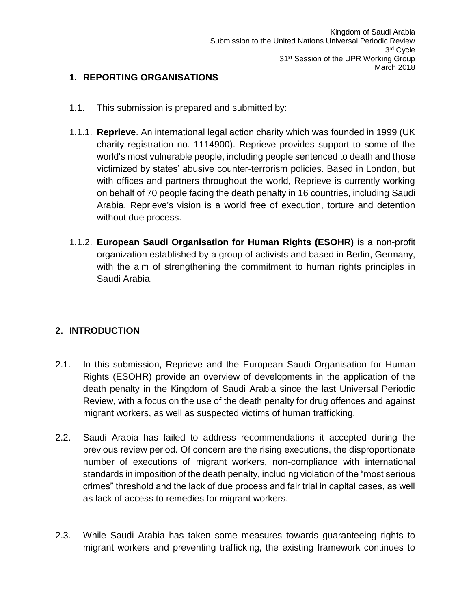# <span id="page-3-0"></span>**1. REPORTING ORGANISATIONS**

- 1.1. This submission is prepared and submitted by:
- 1.1.1. **Reprieve**. An international legal action charity which was founded in 1999 (UK charity registration no. 1114900). Reprieve provides support to some of the world's most vulnerable people, including people sentenced to death and those victimized by states' abusive counter-terrorism policies. Based in London, but with offices and partners throughout the world, Reprieve is currently working on behalf of 70 people facing the death penalty in 16 countries, including Saudi Arabia. Reprieve's vision is a world free of execution, torture and detention without due process.
- 1.1.2. **European Saudi Organisation for Human Rights (ESOHR)** is a non-profit organization established by a group of activists and based in Berlin, Germany, with the aim of strengthening the commitment to human rights principles in Saudi Arabia.

## <span id="page-3-1"></span>**2. INTRODUCTION**

- 2.1. In this submission, Reprieve and the European Saudi Organisation for Human Rights (ESOHR) provide an overview of developments in the application of the death penalty in the Kingdom of Saudi Arabia since the last Universal Periodic Review, with a focus on the use of the death penalty for drug offences and against migrant workers, as well as suspected victims of human trafficking.
- 2.2. Saudi Arabia has failed to address recommendations it accepted during the previous review period. Of concern are the rising executions, the disproportionate number of executions of migrant workers, non-compliance with international standards in imposition of the death penalty, including violation of the "most serious crimes" threshold and the lack of due process and fair trial in capital cases, as well as lack of access to remedies for migrant workers.
- 2.3. While Saudi Arabia has taken some measures towards guaranteeing rights to migrant workers and preventing trafficking, the existing framework continues to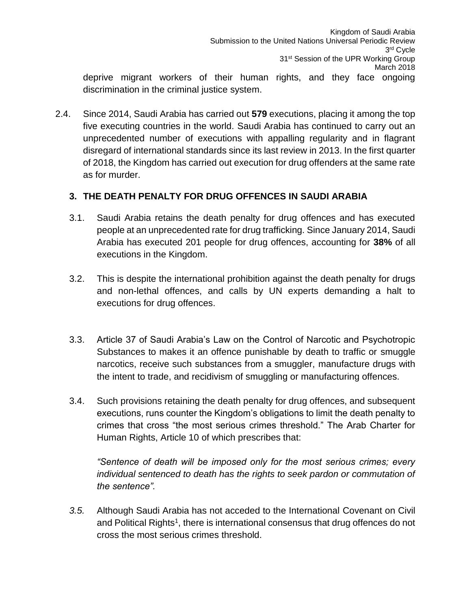deprive migrant workers of their human rights, and they face ongoing discrimination in the criminal justice system.

2.4. Since 2014, Saudi Arabia has carried out **579** executions, placing it among the top five executing countries in the world. Saudi Arabia has continued to carry out an unprecedented number of executions with appalling regularity and in flagrant disregard of international standards since its last review in 2013. In the first quarter of 2018, the Kingdom has carried out execution for drug offenders at the same rate as for murder.

# <span id="page-4-0"></span>**3. THE DEATH PENALTY FOR DRUG OFFENCES IN SAUDI ARABIA**

- 3.1. Saudi Arabia retains the death penalty for drug offences and has executed people at an unprecedented rate for drug trafficking. Since January 2014, Saudi Arabia has executed 201 people for drug offences, accounting for **38%** of all executions in the Kingdom.
- 3.2. This is despite the international prohibition against the death penalty for drugs and non-lethal offences, and calls by UN experts demanding a halt to executions for drug offences.
- 3.3. Article 37 of Saudi Arabia's Law on the Control of Narcotic and Psychotropic Substances to makes it an offence punishable by death to traffic or smuggle narcotics, receive such substances from a smuggler, manufacture drugs with the intent to trade, and recidivism of smuggling or manufacturing offences.
- 3.4. Such provisions retaining the death penalty for drug offences, and subsequent executions, runs counter the Kingdom's obligations to limit the death penalty to crimes that cross "the most serious crimes threshold." The Arab Charter for Human Rights, Article 10 of which prescribes that:

*"Sentence of death will be imposed only for the most serious crimes; every individual sentenced to death has the rights to seek pardon or commutation of the sentence".*

*3.5.* Although Saudi Arabia has not acceded to the International Covenant on Civil and Political Rights<sup>1</sup>, there is international consensus that drug offences do not cross the most serious crimes threshold.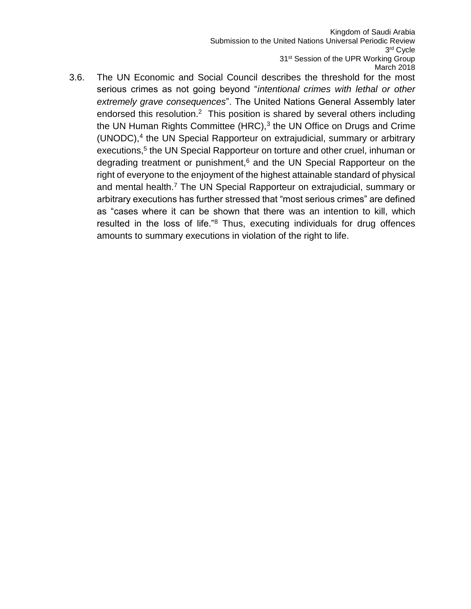Kingdom of Saudi Arabia Submission to the United Nations Universal Periodic Review 3 rd Cycle 31<sup>st</sup> Session of the UPR Working Group March 2018

3.6. The UN Economic and Social Council describes the threshold for the most serious crimes as not going beyond "*intentional crimes with lethal or other extremely grave consequences*". The United Nations General Assembly later endorsed this resolution.<sup>2</sup> This position is shared by several others including the UN Human Rights Committee (HRC), $3$  the UN Office on Drugs and Crime (UNODC),<sup>4</sup> the UN Special Rapporteur on extrajudicial, summary or arbitrary executions,<sup>5</sup> the UN Special Rapporteur on torture and other cruel, inhuman or degrading treatment or punishment,<sup>6</sup> and the UN Special Rapporteur on the right of everyone to the enjoyment of the highest attainable standard of physical and mental health.<sup>7</sup> The UN Special Rapporteur on extrajudicial, summary or arbitrary executions has further stressed that "most serious crimes" are defined as "cases where it can be shown that there was an intention to kill, which resulted in the loss of life."<sup>8</sup> Thus, executing individuals for drug offences amounts to summary executions in violation of the right to life.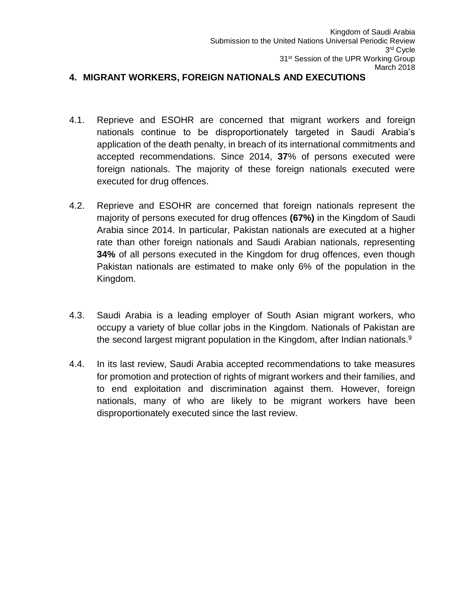#### <span id="page-6-0"></span>**4. MIGRANT WORKERS, FOREIGN NATIONALS AND EXECUTIONS**

- 4.1. Reprieve and ESOHR are concerned that migrant workers and foreign nationals continue to be disproportionately targeted in Saudi Arabia's application of the death penalty, in breach of its international commitments and accepted recommendations. Since 2014, **37**% of persons executed were foreign nationals. The majority of these foreign nationals executed were executed for drug offences.
- 4.2. Reprieve and ESOHR are concerned that foreign nationals represent the majority of persons executed for drug offences **(67%)** in the Kingdom of Saudi Arabia since 2014. In particular, Pakistan nationals are executed at a higher rate than other foreign nationals and Saudi Arabian nationals, representing **34%** of all persons executed in the Kingdom for drug offences, even though Pakistan nationals are estimated to make only 6% of the population in the Kingdom.
- 4.3. Saudi Arabia is a leading employer of South Asian migrant workers, who occupy a variety of blue collar jobs in the Kingdom. Nationals of Pakistan are the second largest migrant population in the Kingdom, after Indian nationals.<sup>9</sup>
- 4.4. In its last review, Saudi Arabia accepted recommendations to take measures for promotion and protection of rights of migrant workers and their families, and to end exploitation and discrimination against them. However, foreign nationals, many of who are likely to be migrant workers have been disproportionately executed since the last review.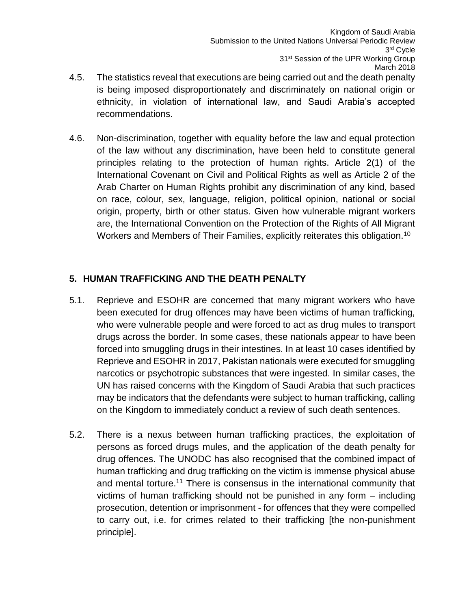- 4.5. The statistics reveal that executions are being carried out and the death penalty is being imposed disproportionately and discriminately on national origin or ethnicity, in violation of international law, and Saudi Arabia's accepted recommendations.
- 4.6. Non-discrimination, together with equality before the law and equal protection of the law without any discrimination, have been held to constitute general principles relating to the protection of human rights. Article 2(1) of the International Covenant on Civil and Political Rights as well as Article 2 of the Arab Charter on Human Rights prohibit any discrimination of any kind, based on race, colour, sex, language, religion, political opinion, national or social origin, property, birth or other status. Given how vulnerable migrant workers are, the International Convention on the Protection of the Rights of All Migrant Workers and Members of Their Families, explicitly reiterates this obligation.<sup>10</sup>

# <span id="page-7-0"></span>**5. HUMAN TRAFFICKING AND THE DEATH PENALTY**

- 5.1. Reprieve and ESOHR are concerned that many migrant workers who have been executed for drug offences may have been victims of human trafficking, who were vulnerable people and were forced to act as drug mules to transport drugs across the border. In some cases, these nationals appear to have been forced into smuggling drugs in their intestines. In at least 10 cases identified by Reprieve and ESOHR in 2017, Pakistan nationals were executed for smuggling narcotics or psychotropic substances that were ingested. In similar cases, the UN has raised concerns with the Kingdom of Saudi Arabia that such practices may be indicators that the defendants were subject to human trafficking, calling on the Kingdom to immediately conduct a review of such death sentences.
- 5.2. There is a nexus between human trafficking practices, the exploitation of persons as forced drugs mules, and the application of the death penalty for drug offences. The UNODC has also recognised that the combined impact of human trafficking and drug trafficking on the victim is immense physical abuse and mental torture.<sup>11</sup> There is consensus in the international community that victims of human trafficking should not be punished in any form – including prosecution, detention or imprisonment - for offences that they were compelled to carry out, i.e. for crimes related to their trafficking [the non-punishment principle].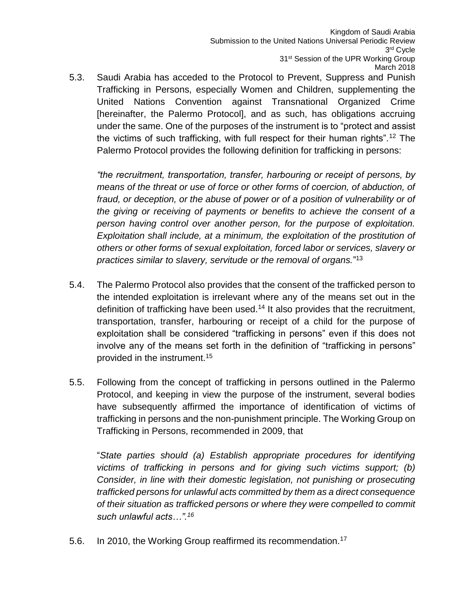5.3. Saudi Arabia has acceded to the Protocol to Prevent, Suppress and Punish Trafficking in Persons, especially Women and Children, supplementing the United Nations Convention against Transnational Organized Crime [hereinafter, the Palermo Protocol], and as such, has obligations accruing under the same. One of the purposes of the instrument is to "protect and assist the victims of such trafficking, with full respect for their human rights".<sup>12</sup> The Palermo Protocol provides the following definition for trafficking in persons:

*"the recruitment, transportation, transfer, harbouring or receipt of persons, by means of the threat or use of force or other forms of coercion, of abduction, of fraud, or deception, or the abuse of power or of a position of vulnerability or of the giving or receiving of payments or benefits to achieve the consent of a person having control over another person, for the purpose of exploitation. Exploitation shall include, at a minimum, the exploitation of the prostitution of others or other forms of sexual exploitation, forced labor or services, slavery or practices similar to slavery, servitude or the removal of organs.*" 13

- 5.4. The Palermo Protocol also provides that the consent of the trafficked person to the intended exploitation is irrelevant where any of the means set out in the definition of trafficking have been used.<sup>14</sup> It also provides that the recruitment, transportation, transfer, harbouring or receipt of a child for the purpose of exploitation shall be considered "trafficking in persons" even if this does not involve any of the means set forth in the definition of "trafficking in persons" provided in the instrument.<sup>15</sup>
- 5.5. Following from the concept of trafficking in persons outlined in the Palermo Protocol, and keeping in view the purpose of the instrument, several bodies have subsequently affirmed the importance of identification of victims of trafficking in persons and the non-punishment principle. The Working Group on Trafficking in Persons, recommended in 2009, that

"*State parties should (a) Establish appropriate procedures for identifying victims of trafficking in persons and for giving such victims support; (b) Consider, in line with their domestic legislation, not punishing or prosecuting trafficked persons for unlawful acts committed by them as a direct consequence of their situation as trafficked persons or where they were compelled to commit such unlawful acts…".<sup>16</sup>*

5.6. In 2010, the Working Group reaffirmed its recommendation.<sup>17</sup>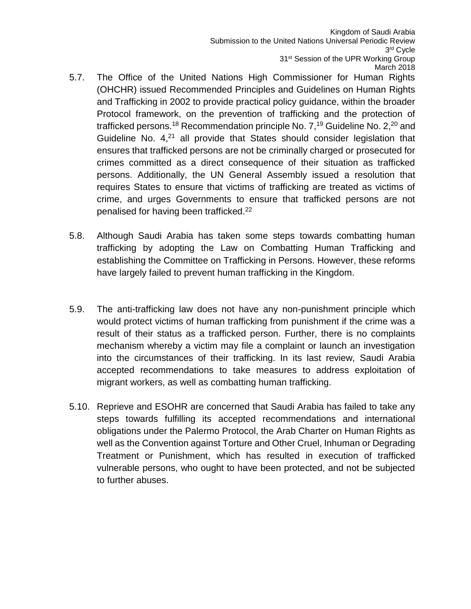- 5.7. The Office of the United Nations High Commissioner for Human Rights (OHCHR) issued Recommended Principles and Guidelines on Human Rights and Trafficking in 2002 to provide practical policy guidance, within the broader Protocol framework, on the prevention of trafficking and the protection of trafficked persons.<sup>18</sup> Recommendation principle No.  $7<sup>19</sup>$  Guideline No.  $2<sup>20</sup>$  and Guideline No.  $4,21$  all provide that States should consider legislation that ensures that trafficked persons are not be criminally charged or prosecuted for crimes committed as a direct consequence of their situation as trafficked persons. Additionally, the UN General Assembly issued a resolution that requires States to ensure that victims of trafficking are treated as victims of crime, and urges Governments to ensure that trafficked persons are not penalised for having been trafficked.<sup>22</sup>
- 5.8. Although Saudi Arabia has taken some steps towards combatting human trafficking by adopting the Law on Combatting Human Trafficking and establishing the Committee on Trafficking in Persons. However, these reforms have largely failed to prevent human trafficking in the Kingdom.
- 5.9. The anti-trafficking law does not have any non-punishment principle which would protect victims of human trafficking from punishment if the crime was a result of their status as a trafficked person. Further, there is no complaints mechanism whereby a victim may file a complaint or launch an investigation into the circumstances of their trafficking. In its last review, Saudi Arabia accepted recommendations to take measures to address exploitation of migrant workers, as well as combatting human trafficking.
- 5.10. Reprieve and ESOHR are concerned that Saudi Arabia has failed to take any steps towards fulfilling its accepted recommendations and international obligations under the Palermo Protocol, the Arab Charter on Human Rights as well as the Convention against Torture and Other Cruel, Inhuman or Degrading Treatment or Punishment, which has resulted in execution of trafficked vulnerable persons, who ought to have been protected, and not be subjected to further abuses.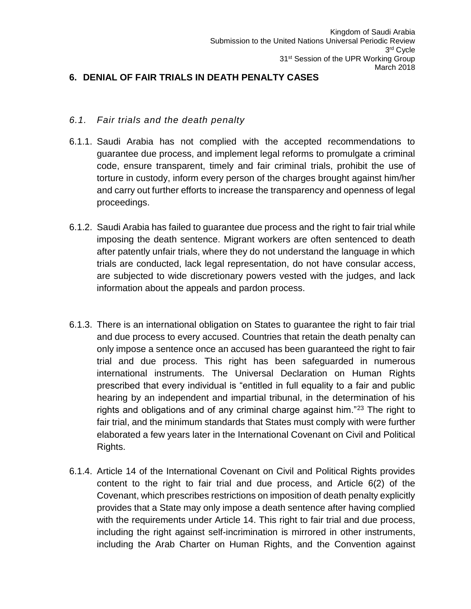## <span id="page-10-0"></span>**6. DENIAL OF FAIR TRIALS IN DEATH PENALTY CASES**

#### *6.1. Fair trials and the death penalty*

- 6.1.1. Saudi Arabia has not complied with the accepted recommendations to guarantee due process, and implement legal reforms to promulgate a criminal code, ensure transparent, timely and fair criminal trials, prohibit the use of torture in custody, inform every person of the charges brought against him/her and carry out further efforts to increase the transparency and openness of legal proceedings.
- 6.1.2. Saudi Arabia has failed to guarantee due process and the right to fair trial while imposing the death sentence. Migrant workers are often sentenced to death after patently unfair trials, where they do not understand the language in which trials are conducted, lack legal representation, do not have consular access, are subjected to wide discretionary powers vested with the judges, and lack information about the appeals and pardon process.
- 6.1.3. There is an international obligation on States to guarantee the right to fair trial and due process to every accused. Countries that retain the death penalty can only impose a sentence once an accused has been guaranteed the right to fair trial and due process. This right has been safeguarded in numerous international instruments. The Universal Declaration on Human Rights prescribed that every individual is "entitled in full equality to a fair and public hearing by an independent and impartial tribunal, in the determination of his rights and obligations and of any criminal charge against him."<sup>23</sup> The right to fair trial, and the minimum standards that States must comply with were further elaborated a few years later in the International Covenant on Civil and Political Rights.
- 6.1.4. Article 14 of the International Covenant on Civil and Political Rights provides content to the right to fair trial and due process, and Article 6(2) of the Covenant, which prescribes restrictions on imposition of death penalty explicitly provides that a State may only impose a death sentence after having complied with the requirements under Article 14. This right to fair trial and due process, including the right against self-incrimination is mirrored in other instruments, including the Arab Charter on Human Rights, and the Convention against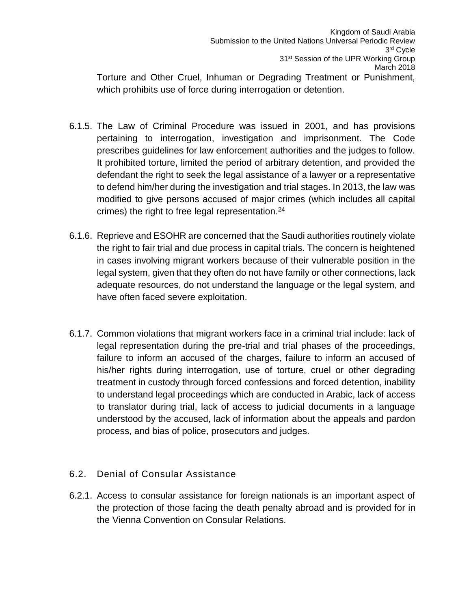Torture and Other Cruel, Inhuman or Degrading Treatment or Punishment, which prohibits use of force during interrogation or detention.

- 6.1.5. The Law of Criminal Procedure was issued in 2001, and has provisions pertaining to interrogation, investigation and imprisonment. The Code prescribes guidelines for law enforcement authorities and the judges to follow. It prohibited torture, limited the period of arbitrary detention, and provided the defendant the right to seek the legal assistance of a lawyer or a representative to defend him/her during the investigation and trial stages. In 2013, the law was modified to give persons accused of major crimes (which includes all capital crimes) the right to free legal representation. $24$
- 6.1.6. Reprieve and ESOHR are concerned that the Saudi authorities routinely violate the right to fair trial and due process in capital trials. The concern is heightened in cases involving migrant workers because of their vulnerable position in the legal system, given that they often do not have family or other connections, lack adequate resources, do not understand the language or the legal system, and have often faced severe exploitation.
- 6.1.7. Common violations that migrant workers face in a criminal trial include: lack of legal representation during the pre-trial and trial phases of the proceedings, failure to inform an accused of the charges, failure to inform an accused of his/her rights during interrogation, use of torture, cruel or other degrading treatment in custody through forced confessions and forced detention, inability to understand legal proceedings which are conducted in Arabic, lack of access to translator during trial, lack of access to judicial documents in a language understood by the accused, lack of information about the appeals and pardon process, and bias of police, prosecutors and judges.
- 6.2. Denial of Consular Assistance
- 6.2.1. Access to consular assistance for foreign nationals is an important aspect of the protection of those facing the death penalty abroad and is provided for in the Vienna Convention on Consular Relations.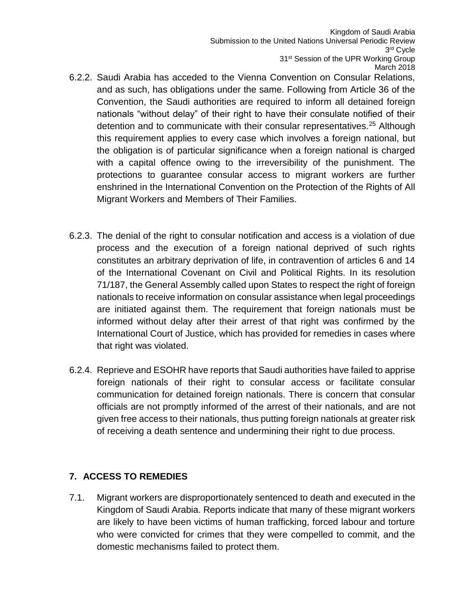- 6.2.2. Saudi Arabia has acceded to the Vienna Convention on Consular Relations, and as such, has obligations under the same. Following from Article 36 of the Convention, the Saudi authorities are required to inform all detained foreign nationals "without delay" of their right to have their consulate notified of their detention and to communicate with their consular representatives.<sup>25</sup> Although this requirement applies to every case which involves a foreign national, but the obligation is of particular significance when a foreign national is charged with a capital offence owing to the irreversibility of the punishment. The protections to guarantee consular access to migrant workers are further enshrined in the International Convention on the Protection of the Rights of All Migrant Workers and Members of Their Families.
- 6.2.3. The denial of the right to consular notification and access is a violation of due process and the execution of a foreign national deprived of such rights constitutes an arbitrary deprivation of life, in contravention of articles 6 and 14 of the International Covenant on Civil and Political Rights. In its resolution 71/187, the General Assembly called upon States to respect the right of foreign nationals to receive information on consular assistance when legal proceedings are initiated against them. The requirement that foreign nationals must be informed without delay after their arrest of that right was confirmed by the International Court of Justice, which has provided for remedies in cases where that right was violated.
- 6.2.4. Reprieve and ESOHR have reports that Saudi authorities have failed to apprise foreign nationals of their right to consular access or facilitate consular communication for detained foreign nationals. There is concern that consular officials are not promptly informed of the arrest of their nationals, and are not given free access to their nationals, thus putting foreign nationals at greater risk of receiving a death sentence and undermining their right to due process.

## <span id="page-12-0"></span>**7. ACCESS TO REMEDIES**

7.1. Migrant workers are disproportionately sentenced to death and executed in the Kingdom of Saudi Arabia. Reports indicate that many of these migrant workers are likely to have been victims of human trafficking, forced labour and torture who were convicted for crimes that they were compelled to commit, and the domestic mechanisms failed to protect them.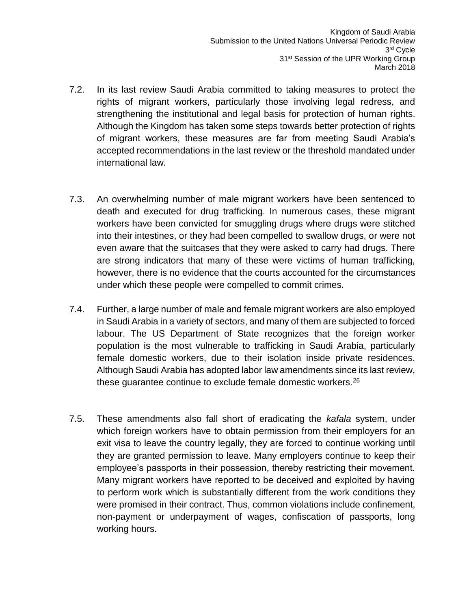- 7.2. In its last review Saudi Arabia committed to taking measures to protect the rights of migrant workers, particularly those involving legal redress, and strengthening the institutional and legal basis for protection of human rights. Although the Kingdom has taken some steps towards better protection of rights of migrant workers, these measures are far from meeting Saudi Arabia's accepted recommendations in the last review or the threshold mandated under international law.
- 7.3. An overwhelming number of male migrant workers have been sentenced to death and executed for drug trafficking. In numerous cases, these migrant workers have been convicted for smuggling drugs where drugs were stitched into their intestines, or they had been compelled to swallow drugs, or were not even aware that the suitcases that they were asked to carry had drugs. There are strong indicators that many of these were victims of human trafficking, however, there is no evidence that the courts accounted for the circumstances under which these people were compelled to commit crimes.
- 7.4. Further, a large number of male and female migrant workers are also employed in Saudi Arabia in a variety of sectors, and many of them are subjected to forced labour. The US Department of State recognizes that the foreign worker population is the most vulnerable to trafficking in Saudi Arabia, particularly female domestic workers, due to their isolation inside private residences. Although Saudi Arabia has adopted labor law amendments since its last review, these guarantee continue to exclude female domestic workers.<sup>26</sup>
- 7.5. These amendments also fall short of eradicating the *kafala* system, under which foreign workers have to obtain permission from their employers for an exit visa to leave the country legally, they are forced to continue working until they are granted permission to leave. Many employers continue to keep their employee's passports in their possession, thereby restricting their movement. Many migrant workers have reported to be deceived and exploited by having to perform work which is substantially different from the work conditions they were promised in their contract. Thus, common violations include confinement, non-payment or underpayment of wages, confiscation of passports, long working hours.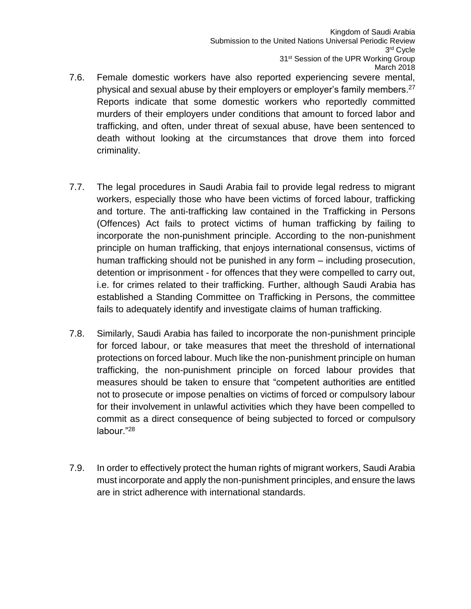- 7.6. Female domestic workers have also reported experiencing severe mental, physical and sexual abuse by their employers or employer's family members.<sup>27</sup> Reports indicate that some domestic workers who reportedly committed murders of their employers under conditions that amount to forced labor and trafficking, and often, under threat of sexual abuse, have been sentenced to death without looking at the circumstances that drove them into forced criminality.
- 7.7. The legal procedures in Saudi Arabia fail to provide legal redress to migrant workers, especially those who have been victims of forced labour, trafficking and torture. The anti-trafficking law contained in the Trafficking in Persons (Offences) Act fails to protect victims of human trafficking by failing to incorporate the non-punishment principle. According to the non-punishment principle on human trafficking, that enjoys international consensus, victims of human trafficking should not be punished in any form – including prosecution, detention or imprisonment - for offences that they were compelled to carry out, i.e. for crimes related to their trafficking. Further, although Saudi Arabia has established a Standing Committee on Trafficking in Persons, the committee fails to adequately identify and investigate claims of human trafficking.
- 7.8. Similarly, Saudi Arabia has failed to incorporate the non-punishment principle for forced labour, or take measures that meet the threshold of international protections on forced labour. Much like the non-punishment principle on human trafficking, the non-punishment principle on forced labour provides that measures should be taken to ensure that "competent authorities are entitled not to prosecute or impose penalties on victims of forced or compulsory labour for their involvement in unlawful activities which they have been compelled to commit as a direct consequence of being subjected to forced or compulsory labour."<sup>28</sup>
- 7.9. In order to effectively protect the human rights of migrant workers, Saudi Arabia must incorporate and apply the non-punishment principles, and ensure the laws are in strict adherence with international standards.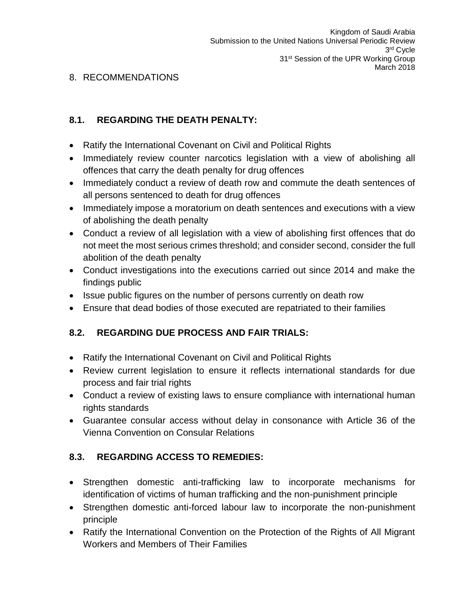## <span id="page-15-0"></span>8. RECOMMENDATIONS

# **8.1. REGARDING THE DEATH PENALTY:**

- Ratify the International Covenant on Civil and Political Rights
- Immediately review counter narcotics legislation with a view of abolishing all offences that carry the death penalty for drug offences
- Immediately conduct a review of death row and commute the death sentences of all persons sentenced to death for drug offences
- Immediately impose a moratorium on death sentences and executions with a view of abolishing the death penalty
- Conduct a review of all legislation with a view of abolishing first offences that do not meet the most serious crimes threshold; and consider second, consider the full abolition of the death penalty
- Conduct investigations into the executions carried out since 2014 and make the findings public
- Issue public figures on the number of persons currently on death row
- Ensure that dead bodies of those executed are repatriated to their families

## **8.2. REGARDING DUE PROCESS AND FAIR TRIALS:**

- Ratify the International Covenant on Civil and Political Rights
- Review current legislation to ensure it reflects international standards for due process and fair trial rights
- Conduct a review of existing laws to ensure compliance with international human rights standards
- Guarantee consular access without delay in consonance with Article 36 of the Vienna Convention on Consular Relations

## **8.3. REGARDING ACCESS TO REMEDIES:**

- Strengthen domestic anti-trafficking law to incorporate mechanisms for identification of victims of human trafficking and the non-punishment principle
- Strengthen domestic anti-forced labour law to incorporate the non-punishment principle
- Ratify the International Convention on the Protection of the Rights of All Migrant Workers and Members of Their Families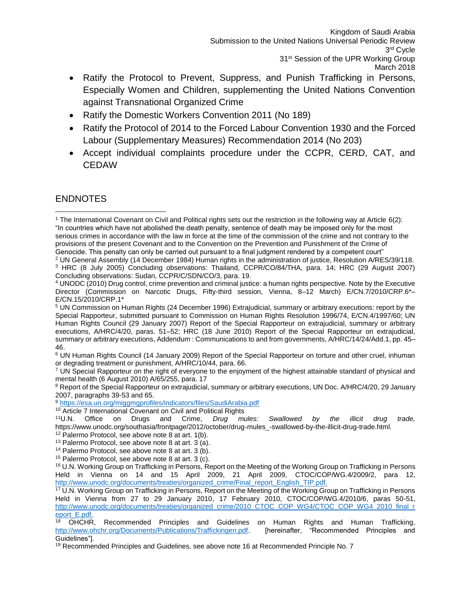- Ratify the Protocol to Prevent, Suppress, and Punish Trafficking in Persons, Especially Women and Children, supplementing the United Nations Convention against Transnational Organized Crime
- Ratify the Domestic Workers Convention 2011 (No 189)
- Ratify the Protocol of 2014 to the Forced Labour Convention 1930 and the Forced Labour (Supplementary Measures) Recommendation 2014 (No 203)
- Accept individual complaints procedure under the CCPR, CERD, CAT, and **CEDAW**

## <span id="page-16-0"></span>ENDNOTES

<sup>6</sup> UN Human Rights Council (14 January 2009) Report of the Special Rapporteur on torture and other cruel, inhuman or degrading treatment or punishment, A/HRC/10/44, para. 66.

 $7$  UN Special Rapporteur on the right of everyone to the enjoyment of the highest attainable standard of physical and mental health (6 August 2010) A/65/255, para. 17

<sup>8</sup> Report of the Special Rapporteur on extrajudicial, summary or arbitrary executions, UN Doc. A/HRC/4/20, 29 January 2007, paragraphs 39-53 and 65.

<sup>9</sup> <https://esa.un.org/miggmgprofiles/indicators/files/SaudiArabia.pdf>

<sup>10</sup> Article 7 International Covenant on Civil and Political Rights <sup>11</sup>U.N. Office on Drugs and Crime, *Drug mu* 

<sup>11</sup>U.N. Office on Drugs and Crime, *Drug mules: Swallowed by the illicit drug trade,*  https://www.unodc.org/southasia/frontpage/2012/october/drug-mules\_-swallowed-by-the-illicit-drug-trade.html.

<sup>17</sup> U.N. Working Group on Trafficking in Persons, Report on the Meeting of the Working Group on Trafficking in Persons Held in Vienna from 27 to 29 January 2010, 17 February 2010, CTOC/COP/WG.4/2010/6, paras 50-51, [http://www.unodc.org/documents/treaties/organized\\_crime/2010\\_CTOC\\_COP\\_WG4/CTOC\\_COP\\_WG4\\_2010\\_final\\_r](http://www.unodc.org/documents/treaties/organized_crime/2010_CTOC_COP_WG4/CTOC_COP_WG4_2010_final_report_E.pdf) [eport\\_E.pdf.](http://www.unodc.org/documents/treaties/organized_crime/2010_CTOC_COP_WG4/CTOC_COP_WG4_2010_final_report_E.pdf)

<sup>18</sup> OHCHR, Recommended Principles and Guidelines on Human Rights and Human Trafficking, [http://www.ohchr.org/Documents/Publications/Traffickingen.pdf.](http://www.ohchr.org/Documents/Publications/Traffickingen.pdf) [hereinafter, "Recommended Principles and Guidelines"].

 $19$  Recommended Principles and Guidelines, see above note 16 at Recommended Principle No. 7

<sup>1</sup> The International Covenant on Civil and Political rights sets out the restriction in the following way at Article 6(2): "In countries which have not abolished the death penalty, sentence of death may be imposed only for the most serious crimes in accordance with the law in force at the time of the commission of the crime and not contrary to the provisions of the present Covenant and to the Convention on the Prevention and Punishment of the Crime of Genocide. This penalty can only be carried out pursuant to a final judgment rendered by a competent court" l

<sup>&</sup>lt;sup>2</sup> UN General Assembly (14 December 1984) Human rights in the administration of iustice, Resolution A/RES/39/118. <sup>3</sup> HRC (8 July 2005) Concluding observations: Thailand, CCPR/CO/84/THA, para. 14; HRC (29 August 2007) Concluding observations: Sudan, CCPR/C/SDN/CO/3, para. 19.

<sup>4</sup> UNODC (2010) Drug control, crime prevention and criminal justice: a human rights perspective. Note by the Executive Director (Commission on Narcotic Drugs, Fifty-third session, Vienna, 8–12 March) E/CN.7/2010/CRP.6\*– E/CN.15/2010/CRP.1\*

<sup>5</sup> UN Commission on Human Rights (24 December 1996) Extrajudicial, summary or arbitrary executions: report by the Special Rapporteur, submitted pursuant to Commission on Human Rights Resolution 1996/74, E/CN.4/1997/60; UN Human Rights Council (29 January 2007) Report of the Special Rapporteur on extrajudicial, summary or arbitrary executions, A/HRC/4/20, paras. 51–52; HRC (18 June 2010) Report of the Special Rapporteur on extrajudicial, summary or arbitrary executions, Addendum : Communications to and from governments, A/HRC/14/24/Add.1, pp. 45– 46.

<sup>12</sup> Palermo Protocol, see above note 8 at art. 1(b).

<sup>13</sup> Palermo Protocol, see above note 8 at art. 3 (a).

<sup>14</sup> Palermo Protocol, see above note 8 at art. 3 (b).

<sup>15</sup> Palermo Protocol, see above note 8 at art. 3 (c).

<sup>&</sup>lt;sup>16</sup> U.N. Working Group on Trafficking in Persons, Report on the Meeting of the Working Group on Trafficking in Persons Held in Vienna on 14 and 15 April 2009, 21 April 2009, CTOC/COP/WG.4/2009/2, para 12, [http://www.unodc.org/documents/treaties/organized\\_crime/Final\\_report\\_English\\_TIP.pdf.](http://www.unodc.org/documents/treaties/organized_crime/Final_report_English_TIP.pdf)